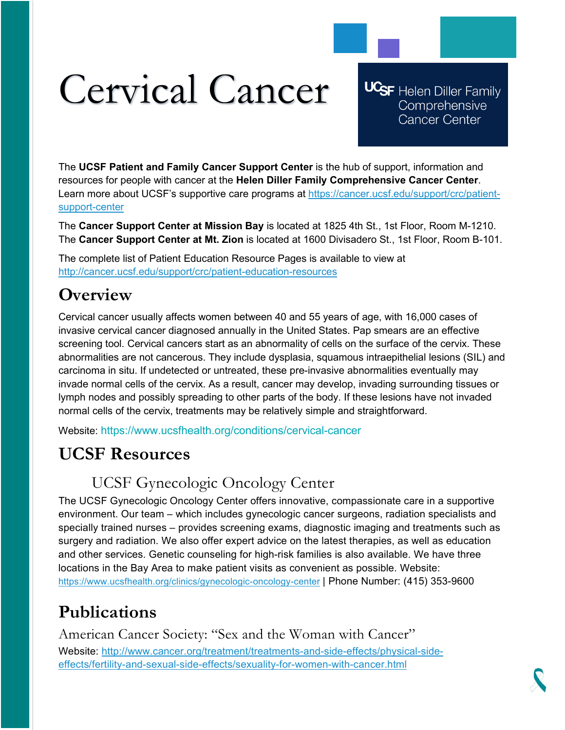# Cervical Cancer

**UCSF** Helen Diller Family Comprehensive **Cancer Center** 

The **UCSF Patient and Family Cancer Support Center** is the hub of support, information and resources for people with cancer at the **Helen Diller Family Comprehensive Cancer Center**. Learn more about UCSF's supportive care programs at [https://cancer.ucsf.edu/support/crc/patient](https://cancer.ucsf.edu/support/crc/patient-support-center)[support-center](https://cancer.ucsf.edu/support/crc/patient-support-center)

The **Cancer Support Center at Mission Bay** is located at 1825 4th St., 1st Floor, Room M-1210. The **Cancer Support Center at Mt. Zion** is located at 1600 Divisadero St., 1st Floor, Room B-101.

The complete list of Patient Education Resource Pages is available to view at <http://cancer.ucsf.edu/support/crc/patient-education-resources>

## **Overview**

Cervical cancer usually affects women between 40 and 55 years of age, with 16,000 cases of invasive cervical cancer diagnosed annually in the United States. Pap smears are an effective screening tool. Cervical cancers start as an abnormality of cells on the surface of the cervix. These abnormalities are not cancerous. They include dysplasia, squamous intraepithelial lesions (SIL) and carcinoma in situ. If undetected or untreated, these pre-invasive abnormalities eventually may invade normal cells of the cervix. As a result, cancer may develop, invading surrounding tissues or lymph nodes and possibly spreading to other parts of the body. If these lesions have not invaded normal cells of the cervix, treatments may be relatively simple and straightforward.

Website: https://www.ucsfhealth.org/conditions/cervical-cancer

# **UCSF Resources**

## UCSF Gynecologic Oncology Center

The UCSF Gynecologic Oncology Center offers innovative, compassionate care in a supportive environment. Our team – which includes gynecologic cancer surgeons, radiation specialists and specially trained nurses – provides screening exams, diagnostic imaging and treatments such as surgery and radiation. We also offer expert advice on the latest therapies, as well as education and other services. Genetic counseling for high-risk families is also available. We have three locations in the Bay Area to make patient visits as convenient as possible. Website: <https://www.ucsfhealth.org/clinics/gynecologic-oncology-center> | Phone Number: (415) 353-9600

# **Publications**

American Cancer Society: "Sex and the Woman with Cancer" Website: [http://www.cancer.org/treatment/treatments-and-side-effects/physical-side](http://www.cancer.org/treatment/treatments-and-side-effects/physical-side-effects/fertility-and-sexual-side-effects/sexuality-for-women-with-cancer.html)[effects/fertility-and-sexual-side-effects/sexuality-for-women-with-cancer.html](http://www.cancer.org/treatment/treatments-and-side-effects/physical-side-effects/fertility-and-sexual-side-effects/sexuality-for-women-with-cancer.html)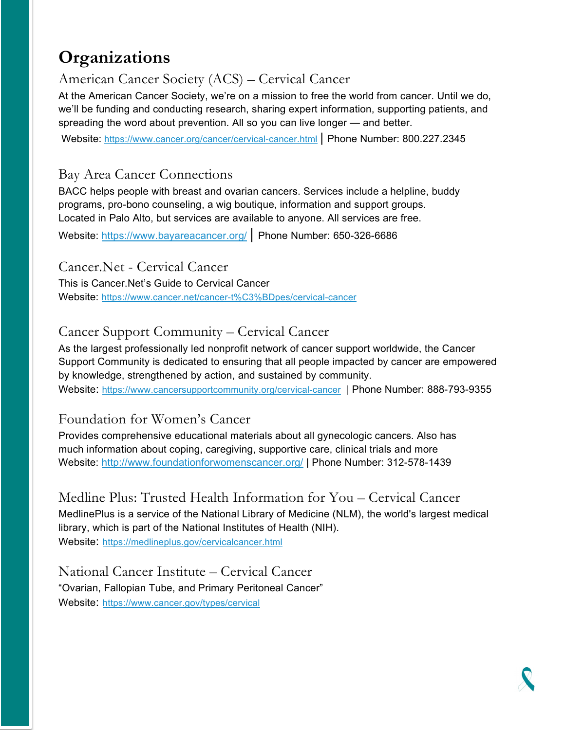## **Organizations**

## American Cancer Society (ACS) – Cervical Cancer

At the American Cancer Society, we're on a mission to free the world from cancer. Until we do, we'll be funding and conducting research, sharing expert information, supporting patients, and spreading the word about prevention. All so you can live longer — and better.

Website: <https://www.cancer.org/cancer/cervical-cancer.html> | Phone Number: 800.227.2345

#### Bay Area Cancer Connections

BACC helps people with breast and ovarian cancers. Services include a helpline, buddy programs, pro-bono counseling, a wig boutique, information and support groups. Located in Palo Alto, but services are available to anyone. All services are free.

Website:<https://www.bayareacancer.org/> | Phone Number: 650-326-6686

#### Cancer.Net - Cervical Cancer

This is Cancer.Net's Guide to Cervical Cancer Website:<https://www.cancer.net/cancer-t%C3%BDpes/cervical-cancer>

### Cancer Support Community – Cervical Cancer

As the largest professionally led nonprofit network of cancer support worldwide, the Cancer Support Community is dedicated to ensuring that all people impacted by cancer are empowered by knowledge, strengthened by action, and sustained by community. Website:<https://www.cancersupportcommunity.org/cervical-cancer> | Phone Number: 888-793-9355

#### Foundation for Women's Cancer

Provides comprehensive educational materials about all gynecologic cancers. Also has much information about coping, caregiving, supportive care, clinical trials and more Website:<http://www.foundationforwomenscancer.org/> | Phone Number: 312-578-1439

Medline Plus: Trusted Health Information for You – Cervical Cancer MedlinePlus is a service of the National Library of Medicine (NLM), the world's largest medical library, which is part of the National Institutes of Health (NIH). Website: <https://medlineplus.gov/cervicalcancer.html>

National Cancer Institute – Cervical Cancer "Ovarian, Fallopian Tube, and Primary Peritoneal Cancer" Website: <https://www.cancer.gov/types/cervical>